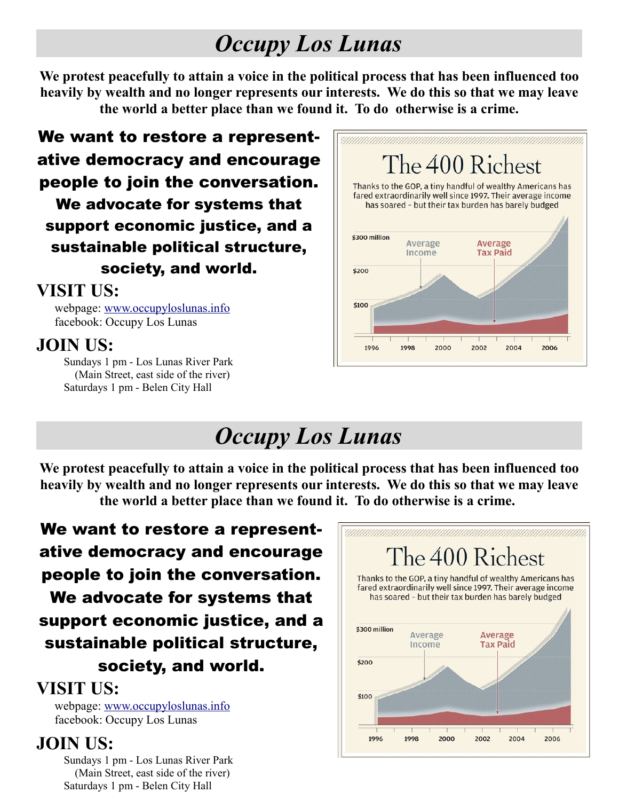### *Occupy Los Lunas*

**We protest peacefully to attain a voice in the political process that has been influenced too heavily by wealth and no longer represents our interests. We do this so that we may leave the world a better place than we found it. To do otherwise is a crime.**

We want to restore a representative democracy and encourage people to join the conversation. We advocate for systems that support economic justice, and a sustainable political structure, society, and world.

#### **VISIT US:**

webpage: [www.occupyloslunas.info](http://www.occupyloslunas.info/) facebook: Occupy Los Lunas

#### **JOIN US:**

Sundays 1 pm - Los Lunas River Park (Main Street, east side of the river) Saturdays 1 pm - Belen City Hall



# *Occupy Los Lunas*

**We protest peacefully to attain a voice in the political process that has been influenced too heavily by wealth and no longer represents our interests. We do this so that we may leave the world a better place than we found it. To do otherwise is a crime.** 

We want to restore a representative democracy and encourage people to join the conversation. We advocate for systems that support economic justice, and a sustainable political structure, society, and world.

#### **VISIT US:**

webpage: [www.occupyloslunas.info](http://www.occupyloslunas.info/) facebook: Occupy Los Lunas

### **JOIN US:**

Sundays 1 pm - Los Lunas River Park (Main Street, east side of the river) Saturdays 1 pm - Belen City Hall